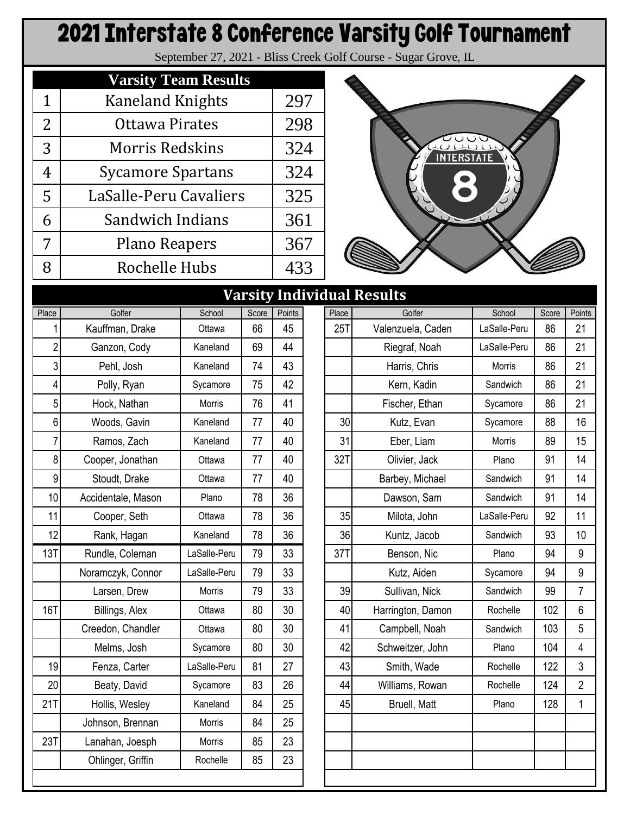## 2021 Interstate 8 Conference Varsity Golf Tournament

September 27, 2021 - Bliss Creek Golf Course - Sugar Grove, IL

|   | <b>Varsity Team Results</b> |     |
|---|-----------------------------|-----|
| 1 | <b>Kaneland Knights</b>     | 297 |
| 2 | Ottawa Pirates              | 298 |
| 3 | <b>Morris Redskins</b>      | 324 |
| 4 | <b>Sycamore Spartans</b>    | 324 |
| 5 | LaSalle-Peru Cavaliers      | 325 |
| 6 | Sandwich Indians            | 361 |
| 7 | <b>Plano Reapers</b>        | 367 |
| 8 | Rochelle Hubs               | 433 |



|                |                    |              |       |        |       | varsity individual results |              |       |                  |
|----------------|--------------------|--------------|-------|--------|-------|----------------------------|--------------|-------|------------------|
| Place          | Golfer             | School       | Score | Points | Place | Golfer                     | School       | Score | Points           |
|                | Kauffman, Drake    | Ottawa       | 66    | 45     | 25T   | Valenzuela, Caden          | LaSalle-Peru | 86    | 21               |
| $\overline{c}$ | Ganzon, Cody       | Kaneland     | 69    | 44     |       | Riegraf, Noah              | LaSalle-Peru | 86    | 21               |
| 3              | Pehl, Josh         | Kaneland     | 74    | 43     |       | Harris, Chris              | Morris       | 86    | 21               |
| 4              | Polly, Ryan        | Sycamore     | 75    | 42     |       | Kern, Kadin                | Sandwich     | 86    | 21               |
| $5\vert$       | Hock, Nathan       | Morris       | 76    | 41     |       | Fischer, Ethan             | Sycamore     | 86    | 21               |
| $6 \mid$       | Woods, Gavin       | Kaneland     | 77    | 40     | 30    | Kutz, Evan                 | Sycamore     | 88    | 16               |
| 7              | Ramos, Zach        | Kaneland     | 77    | 40     | 31    | Eber, Liam                 | Morris       | 89    | 15               |
| 8              | Cooper, Jonathan   | Ottawa       | 77    | 40     | 32T   | Olivier, Jack              | Plano        | 91    | 14               |
| 9              | Stoudt, Drake      | Ottawa       | 77    | 40     |       | Barbey, Michael            | Sandwich     | 91    | 14               |
| 10             | Accidentale, Mason | Plano        | 78    | 36     |       | Dawson, Sam                | Sandwich     | 91    | 14               |
| 11             | Cooper, Seth       | Ottawa       | 78    | 36     | 35    | Milota, John               | LaSalle-Peru | 92    | 11               |
| 12             | Rank, Hagan        | Kaneland     | 78    | 36     | 36    | Kuntz, Jacob               | Sandwich     | 93    | 10               |
| 13T            | Rundle, Coleman    | LaSalle-Peru | 79    | 33     | 37T   | Benson, Nic                | Plano        | 94    | $\boldsymbol{9}$ |
|                | Noramczyk, Connor  | LaSalle-Peru | 79    | 33     |       | Kutz, Aiden                | Sycamore     | 94    | 9                |
|                | Larsen, Drew       | Morris       | 79    | 33     | 39    | Sullivan, Nick             | Sandwich     | 99    | $\overline{7}$   |
| <b>16T</b>     | Billings, Alex     | Ottawa       | 80    | 30     | 40    | Harrington, Damon          | Rochelle     | 102   | $6\phantom{1}$   |
|                | Creedon, Chandler  | Ottawa       | 80    | 30     | 41    | Campbell, Noah             | Sandwich     | 103   | 5                |
|                | Melms, Josh        | Sycamore     | 80    | 30     | 42    | Schweitzer, John           | Plano        | 104   | 4                |
| 19             | Fenza, Carter      | LaSalle-Peru | 81    | 27     | 43    | Smith, Wade                | Rochelle     | 122   | 3                |
| 20             | Beaty, David       | Sycamore     | 83    | 26     | 44    | Williams, Rowan            | Rochelle     | 124   | $\overline{2}$   |
| 21T            | Hollis, Wesley     | Kaneland     | 84    | 25     | 45    | Bruell, Matt               | Plano        | 128   | $\mathbf{1}$     |
|                | Johnson, Brennan   | Morris       | 84    | 25     |       |                            |              |       |                  |
| 23T            | Lanahan, Joesph    | Morris       | 85    | 23     |       |                            |              |       |                  |
|                | Ohlinger, Griffin  | Rochelle     | 85    | 23     |       |                            |              |       |                  |
|                |                    |              |       |        |       |                            |              |       |                  |

|                         | <b>Varsity Individual Results</b> |               |       |        |            |          |                     |              |       |                |  |  |
|-------------------------|-----------------------------------|---------------|-------|--------|------------|----------|---------------------|--------------|-------|----------------|--|--|
| ce                      | Golfer                            | School        | Score | Points |            | Place    | Golfer              | School       | Score | Points         |  |  |
| 1                       | Kauffman, Drake                   | Ottawa        | 66    | 45     |            | 25T      | Valenzuela, Caden   | LaSalle-Peru | 86    | 21             |  |  |
| $\overline{\mathbf{c}}$ | Ganzon, Cody                      | Kaneland      | 69    | 44     |            |          | Riegraf, Noah       | LaSalle-Peru | 86    | 21             |  |  |
| $\sqrt{3}$              | Pehl, Josh                        | Kaneland      | 74    | 43     |            |          | Harris, Chris       | Morris       | 86    | 21             |  |  |
| 4                       | Polly, Ryan                       | Sycamore      | 75    | 42     |            |          | Kern, Kadin         | Sandwich     | 86    | 21             |  |  |
| 5                       | Hock, Nathan                      | <b>Morris</b> | 76    | 41     |            |          | Fischer, Ethan      | Sycamore     | 86    | 21             |  |  |
| $\,6$                   | Woods, Gavin                      | Kaneland      | 77    | 30     | Kutz, Evan | Sycamore | 88                  | 16           |       |                |  |  |
| $\overline{7}$          | Ramos, Zach                       | Kaneland      | 77    | 40     |            | 31       | Eber, Liam          | Morris       | 89    | 15             |  |  |
| 8 <sup>1</sup>          | Cooper, Jonathan                  | Ottawa        | 77    | 40     |            | 32T      | Olivier, Jack       | Plano        | 91    | 14             |  |  |
| 9                       | Stoudt, Drake                     | Ottawa        | 77    | 40     |            |          | Barbey, Michael     | Sandwich     | 91    | 14             |  |  |
| 10                      | Accidentale, Mason                | Plano         | 78    | 36     |            |          | Dawson, Sam         | Sandwich     | 91    | 14             |  |  |
| 11                      | Cooper, Seth                      | Ottawa        | 78    | 36     |            | 35       | Milota, John        | LaSalle-Peru | 92    | 11             |  |  |
| 12                      | Rank, Hagan                       | Kaneland      | 78    | 36     |            | 36       | Kuntz, Jacob        | Sandwich     | 93    | 10             |  |  |
| 3 <sub>T</sub>          | Rundle, Coleman                   | LaSalle-Peru  | 79    | 33     |            | 37T      | Benson, Nic         | Plano        | 94    | 9              |  |  |
|                         | Noramczyk, Connor                 | LaSalle-Peru  | 79    | 33     |            |          | Kutz, Aiden         | Sycamore     | 94    | 9              |  |  |
|                         | Larsen, Drew                      | <b>Morris</b> | 79    | 33     |            | 39       | Sullivan, Nick      | Sandwich     | 99    | $\overline{7}$ |  |  |
| 6T                      | Billings, Alex                    | Ottawa        | 80    | 30     |            | 40       | Harrington, Damon   | Rochelle     | 102   | 6              |  |  |
|                         | Creedon, Chandler                 | Ottawa        | 80    | 30     |            | 41       | Campbell, Noah      | Sandwich     | 103   | 5              |  |  |
|                         | Melms, Josh                       | Sycamore      | 80    | 30     |            | 42       | Schweitzer, John    | Plano        | 104   | 4              |  |  |
| 19                      | Fenza, Carter                     | LaSalle-Peru  | 81    | 27     |            | 43       | Smith, Wade         | Rochelle     | 122   | 3              |  |  |
| $20\vert$               | Beaty, David                      | Sycamore      | 83    | 26     |            | 44       | Williams, Rowan     | Rochelle     | 124   | $\overline{2}$ |  |  |
| 1 <sub>T</sub>          | Hollis, Wesley                    | Kaneland      | 84    | 25     |            | 45       | <b>Bruell, Matt</b> | Plano        | 128   | 1              |  |  |
|                         | Johnson, Brennan                  | Morris        | 84    | 25     |            |          |                     |              |       |                |  |  |
| 3 <sub>T</sub>          | Lanahan, Joesph                   | Morris        | 85    | 23     |            |          |                     |              |       |                |  |  |
|                         | Ohlinger, Griffin                 | Rochelle      | 85    | 23     |            |          |                     |              |       |                |  |  |
|                         |                                   |               |       |        |            |          |                     |              |       |                |  |  |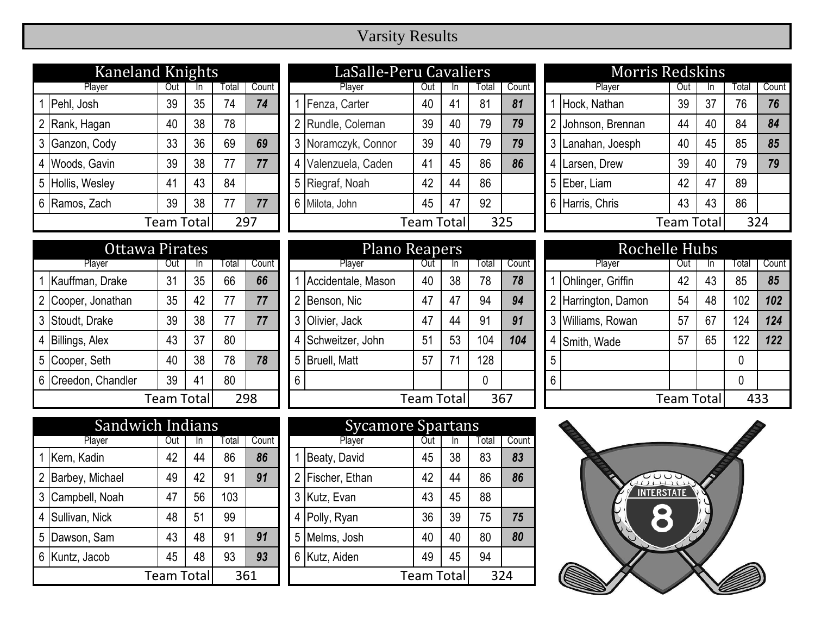## Varsity Results

| <b>Kaneland Knights</b>  |                |     |    |       |       |  |  |  |  |  |
|--------------------------|----------------|-----|----|-------|-------|--|--|--|--|--|
|                          | Player         | Out | In | Total | Count |  |  |  |  |  |
|                          | 1 Pehl, Josh   | 39  | 35 | 74    | 74    |  |  |  |  |  |
|                          | 2 Rank, Hagan  | 40  | 38 | 78    |       |  |  |  |  |  |
| 3                        | Ganzon, Cody   | 33  | 36 | 69    | 69    |  |  |  |  |  |
| 4                        | Woods, Gavin   | 39  | 38 | 77    | 77    |  |  |  |  |  |
| 5                        | Hollis, Wesley | 41  | 43 | 84    |       |  |  |  |  |  |
| 6                        | Ramos, Zach    | 39  | 38 | 77    | 77    |  |  |  |  |  |
| <b>Team Total</b><br>297 |                |     |    |       |       |  |  |  |  |  |

| <b>Kaneland Knights</b> |            |     |       |       |  | LaSalle-Peru Cavaliers |            |    |        |       |     | <b>Morris Redskins</b> |            |     |       |       |
|-------------------------|------------|-----|-------|-------|--|------------------------|------------|----|--------|-------|-----|------------------------|------------|-----|-------|-------|
| Player                  | Out        | In. | Total | Count |  | Player                 | Out        |    | I otal | Count |     | Player                 | Out        | In. | Total | Count |
| Pehl, Josh              | 39         | 35  | 74    | 74    |  | Fenza, Carter          | 40         | 41 | 81     | 81    |     | Hock, Nathan           | 39         | 37  | 76    | 76    |
| 2 Rank, Hagan           | 40         | 38  | 78    |       |  | 2 Rundle, Coleman      | 39         | 40 | 79     | 79    |     | Johnson, Brennan       | 44         | 40  | 84    | 84    |
| 3 Ganzon, Cody          | 33         | 36  | 69    | 69    |  | 3 Noramczyk, Connor    | 39         | 40 | 79     | 79    |     | Lanahan, Joesph        | 40         | 45  | 85    | 85    |
| 4 Woods, Gavin          | 39         | 38  |       | 77    |  | Valenzuela, Caden      | 41         | 45 | 86     | 86    | 4 I | Larsen, Drew           | 39         | 40  | 79    | 79    |
| 5 Hollis, Wesley        | 41         | 43  | 84    |       |  | 5 Riegraf, Noah        | 42         | 44 | 86     |       |     | 5 Eber, Liam           | 42         | 47  | 89    |       |
| 6 Ramos, Zach           | 39         | 38  |       | 77    |  | 6 Milota, John         | 45         | 47 | 92     |       |     | 6 Harris, Chris        | 43         | 43  | 86    |       |
|                         | Team Total |     |       | 297   |  |                        | Team Total |    |        | 325   |     |                        | Team Total |     | 324   |       |
|                         |            |     |       |       |  |                        |            |    |        |       |     |                        |            |     |       |       |

|  |                     | Ottawa Pirates |    |       |       |  | Plano Reapers      |             |    |       |       |   | Rochelle Hubs       |             |    |       |      |
|--|---------------------|----------------|----|-------|-------|--|--------------------|-------------|----|-------|-------|---|---------------------|-------------|----|-------|------|
|  | Player              | Out            |    | Total | Count |  | Player             | Out         | ın | Гоtal | Count |   | Plaver              | Out         |    | Total | Cour |
|  | Kauffman, Drake     | 31             | 35 | 66    | 66    |  | Accidentale, Mason | 40          | 38 | 78    | 78    |   | Ohlinger, Griffin   | 42          | 43 | 85    | 85   |
|  | Cooper, Jonathan    | 35             | 42 | 77    | 77    |  | 2 Benson, Nic      | 47          | 47 | 94    | 94    |   | 2 Harrington, Damon | 54          | 48 | 102   | 102  |
|  | 3 Stoudt, Drake     | 39             | 38 | 77    | 77    |  | Olivier, Jack      | 47          | 44 | 91    | 91    |   | 3 Williams, Rowan   | 57          | 67 | 124   | 124  |
|  | Billings, Alex      | 43             | 37 | 80    |       |  | Schweitzer, John   | 51          | 53 | 104   | 104   | 4 | Smith, Wade         | 57          | 65 | 122   | 122  |
|  | 5 Cooper, Seth      | 40             | 38 | 78    | 78    |  | 5 Bruell, Matt     | 57          |    | 128   |       | 5 |                     |             |    | 0     |      |
|  | 6 Creedon, Chandler | 39             | 41 | 80    |       |  | $6\phantom{.}6$    |             |    | 0     |       | 6 |                     |             |    | 0     |      |
|  | 298<br>Team Total   |                |    |       |       |  |                    | Team Totall |    |       | 367   |   |                     | Team Totall |    | 433   |      |

| Ottawa Pirates |            |    |       |       | Plano Reapers     |                     |     |    |                |     |                   | <b>Rochelle Hubs</b> |                     |     |     |       |       |
|----------------|------------|----|-------|-------|-------------------|---------------------|-----|----|----------------|-----|-------------------|----------------------|---------------------|-----|-----|-------|-------|
| Player         | Out        | ın | ⊺otal | Count |                   | Player              | Out | ın | Total<br>Count |     |                   |                      | Player              | Out | In. | Total | Count |
| an, Drake      | 31         | 35 | 66    | 66    |                   | Accidentale, Mason  | 40  | 38 | 78             | 78  |                   |                      | Ohlinger, Griffin   | 42  | 43  | 85    | 85    |
| , Jonathan     | 35         | 42 | 77    | 77    |                   | Benson, Nic         | 47  | 47 | 94             | 94  |                   |                      | 2 Harrington, Damon | 54  | 48  | 102   | 102   |
| <b>Drake</b>   | 39         | 38 | 77    | 77    |                   | Olivier, Jack       | 47  | 44 | 91             | 91  |                   |                      | 3 Williams, Rowan   | 57  | 67  | 124   | 124   |
| Alex           | 43         | 37 | 80    |       |                   | Schweitzer, John    | 51  | 53 | 104            | 104 |                   | 4                    | Smith, Wade         | 57  | 65  | 122   | 122   |
| , Seth         | 40         | 38 | 78    | 78    | 5                 | <b>Bruell, Matt</b> | 57  | 71 | 128            |     |                   | $5\overline{)}$      |                     |     |     | 0     |       |
| n, Chandler    | 39         | 41 | 80    |       | $6\phantom{1}6$   |                     |     |    | $\mathbf 0$    |     |                   | 6                    |                     |     |     | 0     |       |
|                | Team Total |    |       | 298   | 367<br>Team Total |                     |     |    |                |     | <b>Team Total</b> |                      | 433                 |     |     |       |       |

|                     | Sandwich Indians  |    |    |       |       |  |                | <b>Sycamore Spartans</b> |            |     |       |     |
|---------------------|-------------------|----|----|-------|-------|--|----------------|--------------------------|------------|-----|-------|-----|
| Player<br>Out<br>In |                   |    |    | Total | Count |  |                | Player                   | Out        | In. | Total | Cou |
|                     | Kern, Kadin       | 42 | 44 | 86    | 86    |  |                | Beaty, David             | 45         | 38  | 83    | 83  |
|                     | 2 Barbey, Michael | 49 | 42 | 91    | 91    |  | $\overline{2}$ | Fischer, Ethan           | 42         | 44  | 86    | 86  |
|                     | 3 Campbell, Noah  | 47 | 56 | 103   |       |  | 3              | Kutz, Evan               | 43         | 45  | 88    |     |
|                     | 4 Sullivan, Nick  | 48 | 51 | 99    |       |  |                | 4 Polly, Ryan            | 36         | 39  | 75    | 75  |
|                     | 5 Dawson, Sam     | 43 | 48 | 91    | 91    |  | 5              | Melms, Josh              | 40         | 40  | 80    | 80  |
|                     | 6 Kuntz, Jacob    | 45 | 48 | 93    | 93    |  |                | 6 Kutz, Aiden            | 49         | 45  | 94    |     |
| Team Totall         |                   |    |    |       | 361   |  |                |                          | Team Total |     | 324   |     |

| ch Indians |     |              |       | <b>Sycamore Spartans</b> |                |                   |     |       |       |  |
|------------|-----|--------------|-------|--------------------------|----------------|-------------------|-----|-------|-------|--|
| Out        | In. | <b>Total</b> | Count |                          | Player         | Out               | In. | Total | Count |  |
| 42         | 44  | 86           | 86    |                          | Beaty, David   | 45                | 38  | 83    | 83    |  |
| 49         | 42  | 91           | 91    | 2                        | Fischer, Ethan | 42                | 44  | 86    | 86    |  |
| 47         | 56  | 103          |       | 3                        | Kutz, Evan     | 43                | 45  | 88    |       |  |
| 48         | 51  | 99           |       | 4                        | Polly, Ryan    | 36                | 39  | 75    | 75    |  |
| 43         | 48  | 91           | 91    | 5                        | Melms, Josh    | 40                | 40  | 80    | 80    |  |
| 45         | 48  | 93           | 93    | 6                        | Kutz, Aiden    | 49                | 45  | 94    |       |  |
| Team Total |     | 361          |       |                          |                | <b>Team Total</b> |     | 324   |       |  |

|                | <b>Morris Redskins</b> |                   |    |       |       |  |  |  |  |  |  |  |
|----------------|------------------------|-------------------|----|-------|-------|--|--|--|--|--|--|--|
|                | Player                 | Out               | In | Total | Count |  |  |  |  |  |  |  |
|                | 1 Hock, Nathan         | 39                | 37 | 76    | 76    |  |  |  |  |  |  |  |
|                | 2 Johnson, Brennan     | 44                | 40 | 84    | 84    |  |  |  |  |  |  |  |
| $\mathfrak{Z}$ | Lanahan, Joesph        | 40                | 45 | 85    | 85    |  |  |  |  |  |  |  |
| 4              | Larsen, Drew           | 39                | 40 | 79    | 79    |  |  |  |  |  |  |  |
| 5              | Eber, Liam             | 42                | 47 | 89    |       |  |  |  |  |  |  |  |
| 6              | Harris, Chris          | 43                | 43 | 86    |       |  |  |  |  |  |  |  |
|                |                        | <b>Team Total</b> |    |       | 324   |  |  |  |  |  |  |  |

|   | <b>Rochelle Hubs</b>     |     |    |       |       |  |  |  |  |  |  |
|---|--------------------------|-----|----|-------|-------|--|--|--|--|--|--|
|   | Player                   | Out | In | Total | Count |  |  |  |  |  |  |
|   | Ohlinger, Griffin        | 42  | 43 | 85    | 85    |  |  |  |  |  |  |
|   | 2 Harrington, Damon      | 54  | 48 | 102   | 102   |  |  |  |  |  |  |
| 3 | Williams, Rowan          | 57  | 67 | 124   | 124   |  |  |  |  |  |  |
| 4 | Smith, Wade              | 57  | 65 | 122   | 122   |  |  |  |  |  |  |
| 5 |                          |     |    | 0     |       |  |  |  |  |  |  |
| 6 |                          |     |    | 0     |       |  |  |  |  |  |  |
|   | <b>Team Total</b><br>433 |     |    |       |       |  |  |  |  |  |  |

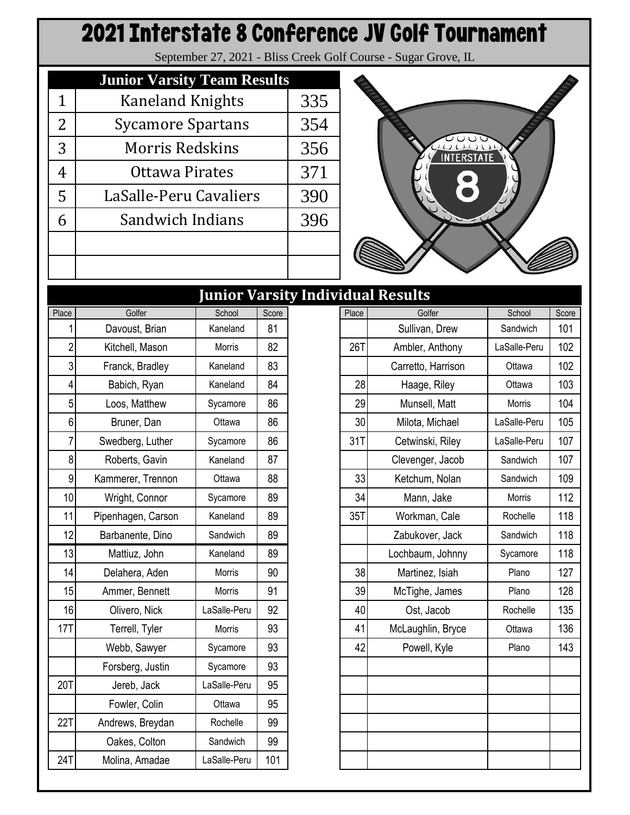## 2021 Interstate 8 Conference JV Golf Tournament

September 27, 2021 - Bliss Creek Golf Course - Sugar Grove, IL

|   | <b>Junior Varsity Team Results</b> |     |
|---|------------------------------------|-----|
| 1 | <b>Kaneland Knights</b>            | 335 |
| 2 | <b>Sycamore Spartans</b>           | 354 |
| 3 | Morris Redskins                    | 356 |
| 4 | Ottawa Pirates                     | 371 |
| 5 | LaSalle-Peru Cavaliers             | 390 |
| 6 | Sandwich Indians                   | 396 |
|   |                                    |     |
|   |                                    |     |



|                |                    | Junior Varsit |       |
|----------------|--------------------|---------------|-------|
| Place          | Golfer             | School        | Score |
| 1              | Davoust, Brian     | Kaneland      | 81    |
| $\overline{2}$ | Kitchell, Mason    | Morris        | 82    |
| 3              | Franck, Bradley    | Kaneland      | 83    |
| 4              | Babich, Ryan       | Kaneland      | 84    |
| 5              | Loos, Matthew      | Sycamore      | 86    |
| 6              | Bruner, Dan        | Ottawa        | 86    |
| $\overline{7}$ | Swedberg, Luther   | Sycamore      | 86    |
| 8              | Roberts, Gavin     | Kaneland      | 87    |
| 9              | Kammerer, Trennon  | Ottawa        | 88    |
| 10             | Wright, Connor     | Sycamore      | 89    |
| 11             | Pipenhagen, Carson | Kaneland      | 89    |
| 12             | Barbanente, Dino   | Sandwich      | 89    |
| 13             | Mattiuz, John      | Kaneland      | 89    |
| 14             | Delahera, Aden     | Morris        | 90    |
| 15             | Ammer, Bennett     | Morris        | 91    |
| 16             | Olivero, Nick      | LaSalle-Peru  | 92    |
| 17T            | Terrell, Tyler     | Morris        | 93    |
|                | Webb, Sawyer       | Sycamore      | 93    |
|                | Forsberg, Justin   | Sycamore      | 93    |
| 20T            | Jereb, Jack        | LaSalle-Peru  | 95    |
|                | Fowler, Colin      | Ottawa        | 95    |
| 22T            | Andrews, Breydan   | Rochelle      | 99    |
|                | Oakes, Colton      | Sandwich      | 99    |
| 24T            | Molina, Amadae     | LaSalle-Peru  | 101   |

|                |                    |               |       | <b>Junior Varsity Individual Results</b> |                    |              |       |
|----------------|--------------------|---------------|-------|------------------------------------------|--------------------|--------------|-------|
| Place          | Golfer             | School        | Score | Place                                    | Golfer             | School       | Score |
|                | Davoust, Brian     | Kaneland      | 81    |                                          | Sullivan, Drew     | Sandwich     | 101   |
| $\overline{2}$ | Kitchell, Mason    | Morris        | 82    | 26T                                      | Ambler, Anthony    | LaSalle-Peru | 102   |
| 3              | Franck, Bradley    | Kaneland      | 83    |                                          | Carretto, Harrison | Ottawa       | 102   |
| 4              | Babich, Ryan       | Kaneland      | 84    | 28                                       | Haage, Riley       | Ottawa       | 103   |
| 5              | Loos, Matthew      | Sycamore      | 86    | 29                                       | Munsell, Matt      | Morris       | 104   |
| 6              | Bruner, Dan        | Ottawa        | 86    | 30                                       | Milota, Michael    | LaSalle-Peru | 105   |
| 7              | Swedberg, Luther   | Sycamore      | 86    | 31T                                      | Cetwinski, Riley   | LaSalle-Peru | 107   |
| 8              | Roberts, Gavin     | Kaneland      | 87    |                                          | Clevenger, Jacob   | Sandwich     | 107   |
| 9              | Kammerer, Trennon  | Ottawa        | 88    | 33                                       | Ketchum, Nolan     | Sandwich     | 109   |
| 10             | Wright, Connor     | Sycamore      | 89    | 34                                       | Mann, Jake         | Morris       | 112   |
| 11             | Pipenhagen, Carson | Kaneland      | 89    | 35T                                      | Workman, Cale      | Rochelle     | 118   |
| 12             | Barbanente, Dino   | Sandwich      | 89    |                                          | Zabukover, Jack    | Sandwich     | 118   |
| 13             | Mattiuz, John      | Kaneland      | 89    |                                          | Lochbaum, Johnny   | Sycamore     | 118   |
| 14             | Delahera, Aden     | <b>Morris</b> | 90    | 38                                       | Martinez, Isiah    | Plano        | 127   |
| 15             | Ammer, Bennett     | Morris        | 91    | 39                                       | McTighe, James     | Plano        | 128   |
| 16             | Olivero, Nick      | LaSalle-Peru  | 92    | 40                                       | Ost, Jacob         | Rochelle     | 135   |
| 17T            | Terrell, Tyler     | Morris        | 93    | 41                                       | McLaughlin, Bryce  | Ottawa       | 136   |
|                | Webb, Sawyer       | Sycamore      | 93    | 42                                       | Powell, Kyle       | Plano        | 143   |
|                | Forsberg, Justin   | Sycamore      | 93    |                                          |                    |              |       |
| 20T            | Jereb, Jack        | LaSalle-Peru  | 95    |                                          |                    |              |       |
|                | Fowler, Colin      | Ottawa        | 95    |                                          |                    |              |       |
| 22T            | Andrews, Breydan   | Rochelle      | 99    |                                          |                    |              |       |
|                | Oakes, Colton      | Sandwich      | 99    |                                          |                    |              |       |
| 24T            | Molina, Amadae     | LaSalle-Peru  | 101   |                                          |                    |              |       |